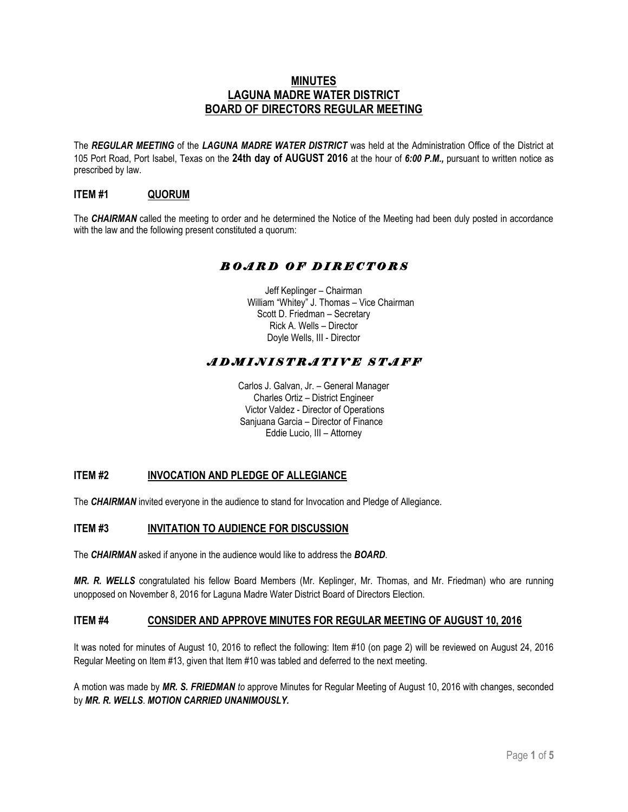## **MINUTES LAGUNA MADRE WATER DISTRICT BOARD OF DIRECTORS REGULAR MEETING**

The *REGULAR MEETING* of the *LAGUNA MADRE WATER DISTRICT* was held at the Administration Office of the District at 105 Port Road, Port Isabel, Texas on the **24th day of AUGUST 2016** at the hour of *6:00 P.M.,* pursuant to written notice as prescribed by law.

## **ITEM #1 QUORUM**

The *CHAIRMAN* called the meeting to order and he determined the Notice of the Meeting had been duly posted in accordance with the law and the following present constituted a quorum:

## *B O A R D O F D I R E C T O R S*

Jeff Keplinger – Chairman William "Whitey" J. Thomas – Vice Chairman Scott D. Friedman – Secretary Rick A. Wells – Director Doyle Wells, III - Director

# *A D M I N I S T R A T I V E S T A F F*

Carlos J. Galvan, Jr. – General Manager Charles Ortiz – District Engineer Victor Valdez - Director of Operations Sanjuana Garcia – Director of Finance Eddie Lucio, III – Attorney

### **ITEM #2 INVOCATION AND PLEDGE OF ALLEGIANCE**

The *CHAIRMAN* invited everyone in the audience to stand for Invocation and Pledge of Allegiance.

#### **ITEM #3 INVITATION TO AUDIENCE FOR DISCUSSION**

The *CHAIRMAN* asked if anyone in the audience would like to address the *BOARD*.

*MR. R. WELLS* congratulated his fellow Board Members (Mr. Keplinger, Mr. Thomas, and Mr. Friedman) who are running unopposed on November 8, 2016 for Laguna Madre Water District Board of Directors Election.

#### **ITEM #4 CONSIDER AND APPROVE MINUTES FOR REGULAR MEETING OF AUGUST 10, 2016**

It was noted for minutes of August 10, 2016 to reflect the following: Item #10 (on page 2) will be reviewed on August 24, 2016 Regular Meeting on Item #13, given that Item #10 was tabled and deferred to the next meeting.

A motion was made by *MR. S. FRIEDMAN to* approve Minutes for Regular Meeting of August 10, 2016 with changes, seconded by *MR. R. WELLS*. *MOTION CARRIED UNANIMOUSLY.*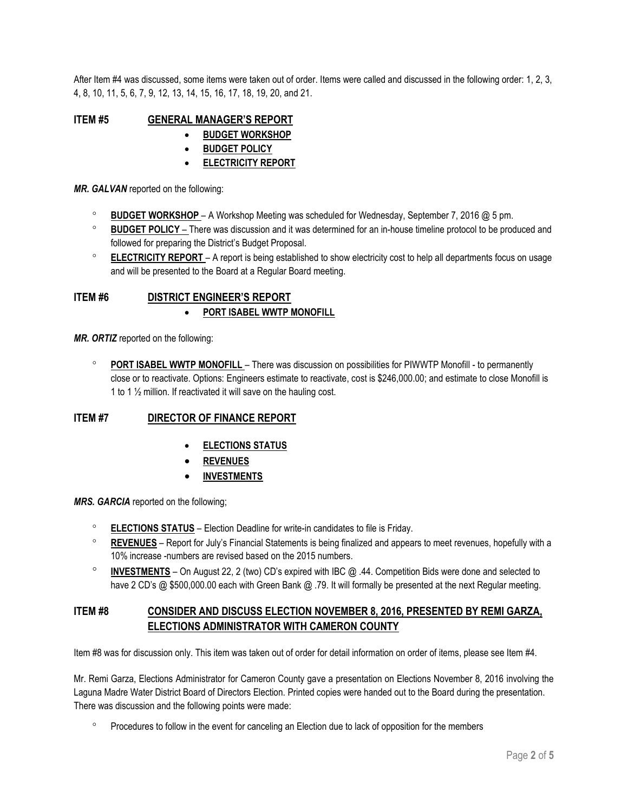After Item #4 was discussed, some items were taken out of order. Items were called and discussed in the following order: 1, 2, 3, 4, 8, 10, 11, 5, 6, 7, 9, 12, 13, 14, 15, 16, 17, 18, 19, 20, and 21.

**ITEM #5 GENERAL MANAGER'S REPORT** 

- **BUDGET WORKSHOP**
- **BUDGET POLICY**
- **ELECTRICITY REPORT**

*MR. GALVAN* reported on the following:

- **BUDGET WORKSHOP**  A Workshop Meeting was scheduled for Wednesday, September 7, 2016 @ 5 pm.
- **BUDGET POLICY**  There was discussion and it was determined for an in-house timeline protocol to be produced and followed for preparing the District's Budget Proposal.
- **ELECTRICITY REPORT** A report is being established to show electricity cost to help all departments focus on usage and will be presented to the Board at a Regular Board meeting.

### **ITEM #6 DISTRICT ENGINEER'S REPORT PORT ISABEL WWTP MONOFILL**

*MR. ORTIZ* reported on the following:

 **PORT ISABEL WWTP MONOFILL** – There was discussion on possibilities for PIWWTP Monofill - to permanently close or to reactivate. Options: Engineers estimate to reactivate, cost is \$246,000.00; and estimate to close Monofill is 1 to 1 ½ million. If reactivated it will save on the hauling cost.

## **ITEM #7 DIRECTOR OF FINANCE REPORT**

- **ELECTIONS STATUS**
- **REVENUES**
- **INVESTMENTS**

*MRS. GARCIA* reported on the following;

- **ELECTIONS STATUS** Election Deadline for write-in candidates to file is Friday.
- **REVENUES** Report for July's Financial Statements is being finalized and appears to meet revenues, hopefully with a 10% increase -numbers are revised based on the 2015 numbers.
- **INVESTMENTS** On August 22, 2 (two) CD's expired with IBC @ .44. Competition Bids were done and selected to have 2 CD's @ \$500,000.00 each with Green Bank @ .79. It will formally be presented at the next Regular meeting.

## **ITEM #8 CONSIDER AND DISCUSS ELECTION NOVEMBER 8, 2016, PRESENTED BY REMI GARZA, ELECTIONS ADMINISTRATOR WITH CAMERON COUNTY**

Item #8 was for discussion only. This item was taken out of order for detail information on order of items, please see Item #4.

Mr. Remi Garza, Elections Administrator for Cameron County gave a presentation on Elections November 8, 2016 involving the Laguna Madre Water District Board of Directors Election. Printed copies were handed out to the Board during the presentation. There was discussion and the following points were made:

Procedures to follow in the event for canceling an Election due to lack of opposition for the members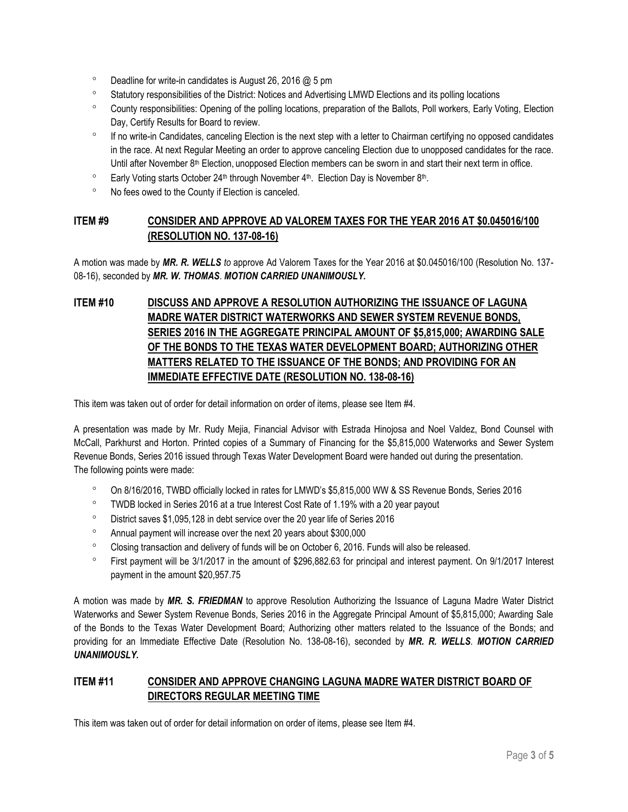- $\degree$  Deadline for write-in candidates is August 26, 2016  $@$  5 pm
- <sup>o</sup> Statutory responsibilities of the District: Notices and Advertising LMWD Elections and its polling locations
- County responsibilities: Opening of the polling locations, preparation of the Ballots, Poll workers, Early Voting, Election Day, Certify Results for Board to review.
- <sup>o</sup> If no write-in Candidates, canceling Election is the next step with a letter to Chairman certifying no opposed candidates in the race. At next Regular Meeting an order to approve canceling Election due to unopposed candidates for the race. Until after November 8<sup>th</sup> Election, unopposed Election members can be sworn in and start their next term in office.
- $\degree$  Early Voting starts October 24<sup>th</sup> through November 4<sup>th</sup>. Election Day is November 8<sup>th</sup>.
- No fees owed to the County if Election is canceled.

## **ITEM #9 CONSIDER AND APPROVE AD VALOREM TAXES FOR THE YEAR 2016 AT \$0.045016/100 (RESOLUTION NO. 137-08-16)**

A motion was made by *MR. R. WELLS to* approve Ad Valorem Taxes for the Year 2016 at \$0.045016/100 (Resolution No. 137- 08-16), seconded by *MR. W. THOMAS*. *MOTION CARRIED UNANIMOUSLY.* 

# **ITEM #10 DISCUSS AND APPROVE A RESOLUTION AUTHORIZING THE ISSUANCE OF LAGUNA MADRE WATER DISTRICT WATERWORKS AND SEWER SYSTEM REVENUE BONDS, SERIES 2016 IN THE AGGREGATE PRINCIPAL AMOUNT OF \$5,815,000; AWARDING SALE OF THE BONDS TO THE TEXAS WATER DEVELOPMENT BOARD; AUTHORIZING OTHER MATTERS RELATED TO THE ISSUANCE OF THE BONDS; AND PROVIDING FOR AN IMMEDIATE EFFECTIVE DATE (RESOLUTION NO. 138-08-16)**

This item was taken out of order for detail information on order of items, please see Item #4.

A presentation was made by Mr. Rudy Mejia, Financial Advisor with Estrada Hinojosa and Noel Valdez, Bond Counsel with McCall, Parkhurst and Horton. Printed copies of a Summary of Financing for the \$5,815,000 Waterworks and Sewer System Revenue Bonds, Series 2016 issued through Texas Water Development Board were handed out during the presentation. The following points were made:

- On 8/16/2016, TWBD officially locked in rates for LMWD's \$5,815,000 WW & SS Revenue Bonds, Series 2016
- TWDB locked in Series 2016 at a true Interest Cost Rate of 1.19% with a 20 year payout
- District saves \$1,095,128 in debt service over the 20 year life of Series 2016
- Annual payment will increase over the next 20 years about \$300,000
- Closing transaction and delivery of funds will be on October 6, 2016. Funds will also be released.
- First payment will be 3/1/2017 in the amount of \$296,882.63 for principal and interest payment. On 9/1/2017 Interest payment in the amount \$20,957.75

A motion was made by *MR. S. FRIEDMAN* to approve Resolution Authorizing the Issuance of Laguna Madre Water District Waterworks and Sewer System Revenue Bonds, Series 2016 in the Aggregate Principal Amount of \$5,815,000; Awarding Sale of the Bonds to the Texas Water Development Board; Authorizing other matters related to the Issuance of the Bonds; and providing for an Immediate Effective Date (Resolution No. 138-08-16), seconded by *MR. R. WELLS*. *MOTION CARRIED UNANIMOUSLY.* 

# **ITEM #11 CONSIDER AND APPROVE CHANGING LAGUNA MADRE WATER DISTRICT BOARD OF DIRECTORS REGULAR MEETING TIME**

This item was taken out of order for detail information on order of items, please see Item #4.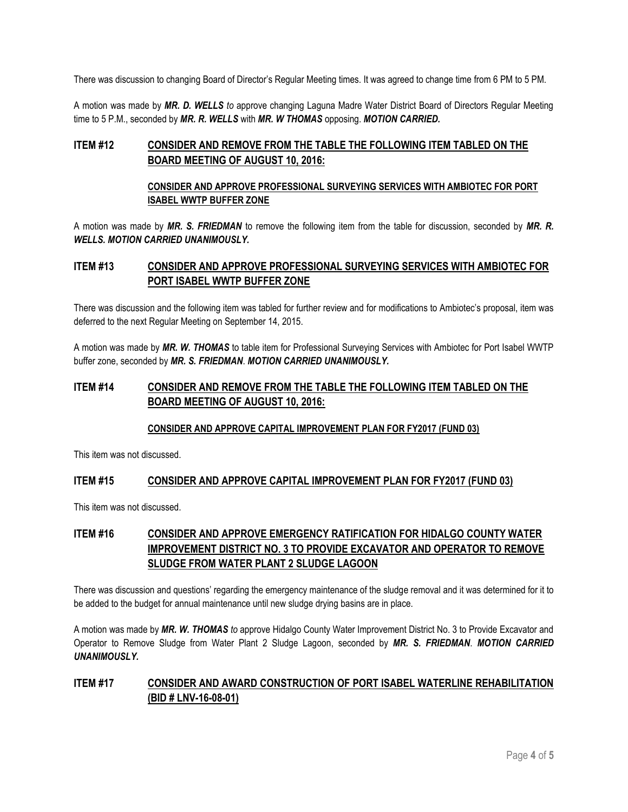There was discussion to changing Board of Director's Regular Meeting times. It was agreed to change time from 6 PM to 5 PM.

A motion was made by *MR. D. WELLS to* approve changing Laguna Madre Water District Board of Directors Regular Meeting time to 5 P.M., seconded by *MR. R. WELLS* with *MR. W THOMAS* opposing. *MOTION CARRIED.* 

## **ITEM #12 CONSIDER AND REMOVE FROM THE TABLE THE FOLLOWING ITEM TABLED ON THE BOARD MEETING OF AUGUST 10, 2016:**

#### **CONSIDER AND APPROVE PROFESSIONAL SURVEYING SERVICES WITH AMBIOTEC FOR PORT ISABEL WWTP BUFFER ZONE**

A motion was made by *MR. S. FRIEDMAN* to remove the following item from the table for discussion, seconded by *MR. R. WELLS. MOTION CARRIED UNANIMOUSLY.* 

## **ITEM #13 CONSIDER AND APPROVE PROFESSIONAL SURVEYING SERVICES WITH AMBIOTEC FOR PORT ISABEL WWTP BUFFER ZONE**

There was discussion and the following item was tabled for further review and for modifications to Ambiotec's proposal, item was deferred to the next Regular Meeting on September 14, 2015.

A motion was made by *MR. W. THOMAS* to table item for Professional Surveying Services with Ambiotec for Port Isabel WWTP buffer zone, seconded by *MR. S. FRIEDMAN*. *MOTION CARRIED UNANIMOUSLY.* 

## **ITEM #14 CONSIDER AND REMOVE FROM THE TABLE THE FOLLOWING ITEM TABLED ON THE BOARD MEETING OF AUGUST 10, 2016:**

#### **CONSIDER AND APPROVE CAPITAL IMPROVEMENT PLAN FOR FY2017 (FUND 03)**

This item was not discussed.

### **ITEM #15 CONSIDER AND APPROVE CAPITAL IMPROVEMENT PLAN FOR FY2017 (FUND 03)**

This item was not discussed.

# **ITEM #16 CONSIDER AND APPROVE EMERGENCY RATIFICATION FOR HIDALGO COUNTY WATER IMPROVEMENT DISTRICT NO. 3 TO PROVIDE EXCAVATOR AND OPERATOR TO REMOVE SLUDGE FROM WATER PLANT 2 SLUDGE LAGOON**

There was discussion and questions' regarding the emergency maintenance of the sludge removal and it was determined for it to be added to the budget for annual maintenance until new sludge drying basins are in place.

A motion was made by *MR. W. THOMAS to* approve Hidalgo County Water Improvement District No. 3 to Provide Excavator and Operator to Remove Sludge from Water Plant 2 Sludge Lagoon, seconded by *MR. S. FRIEDMAN*. *MOTION CARRIED UNANIMOUSLY.*

## **ITEM #17 CONSIDER AND AWARD CONSTRUCTION OF PORT ISABEL WATERLINE REHABILITATION (BID # LNV-16-08-01)**